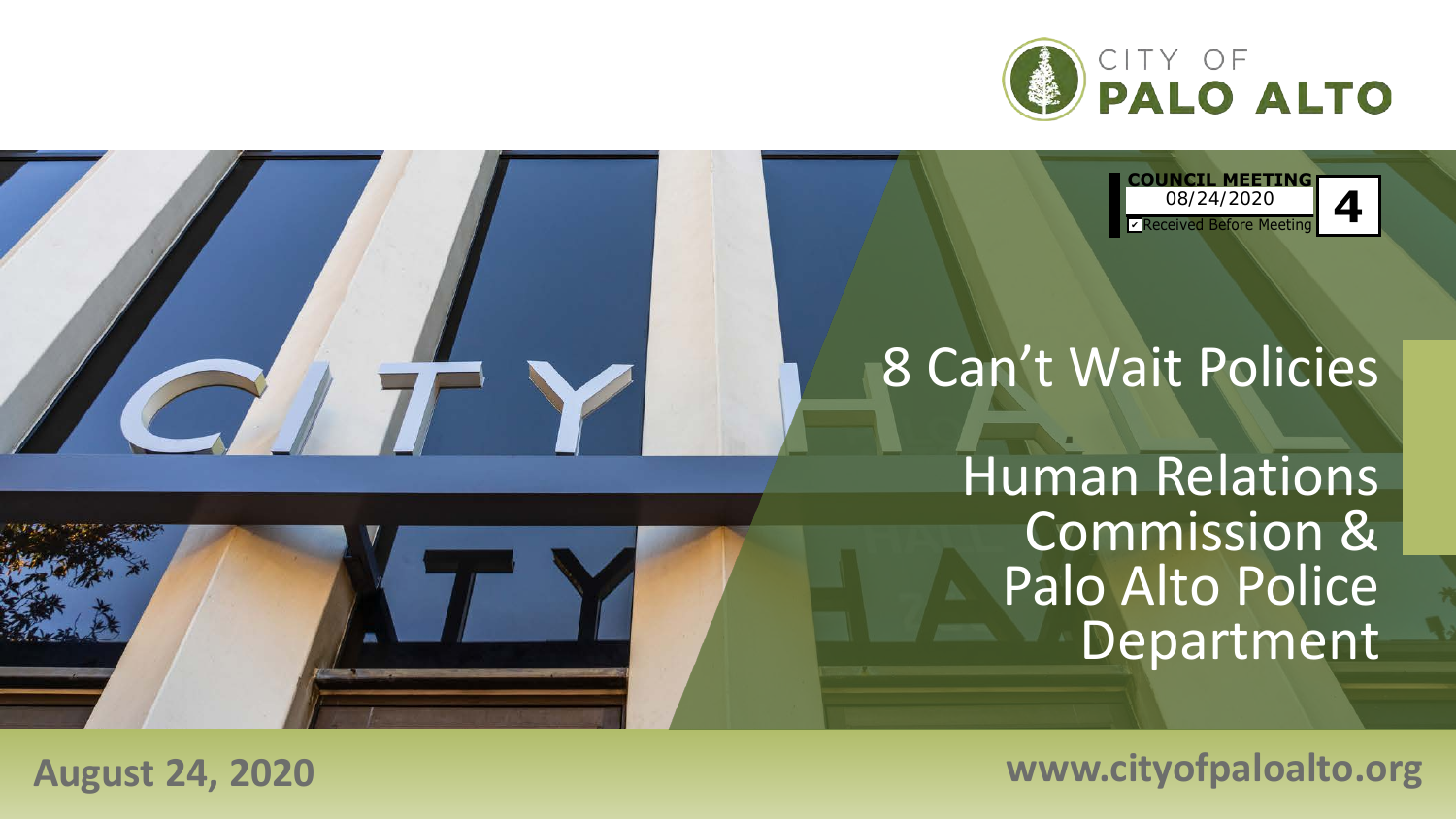

**COUNCIL MEETING** Received Before Meeting **4** 08/24/2020 ✔

# 8 Can't Wait Policies

Human Relations Commission & Palo Alto Police Department

**August 24, 2020 www.cityofpaloalto.org**

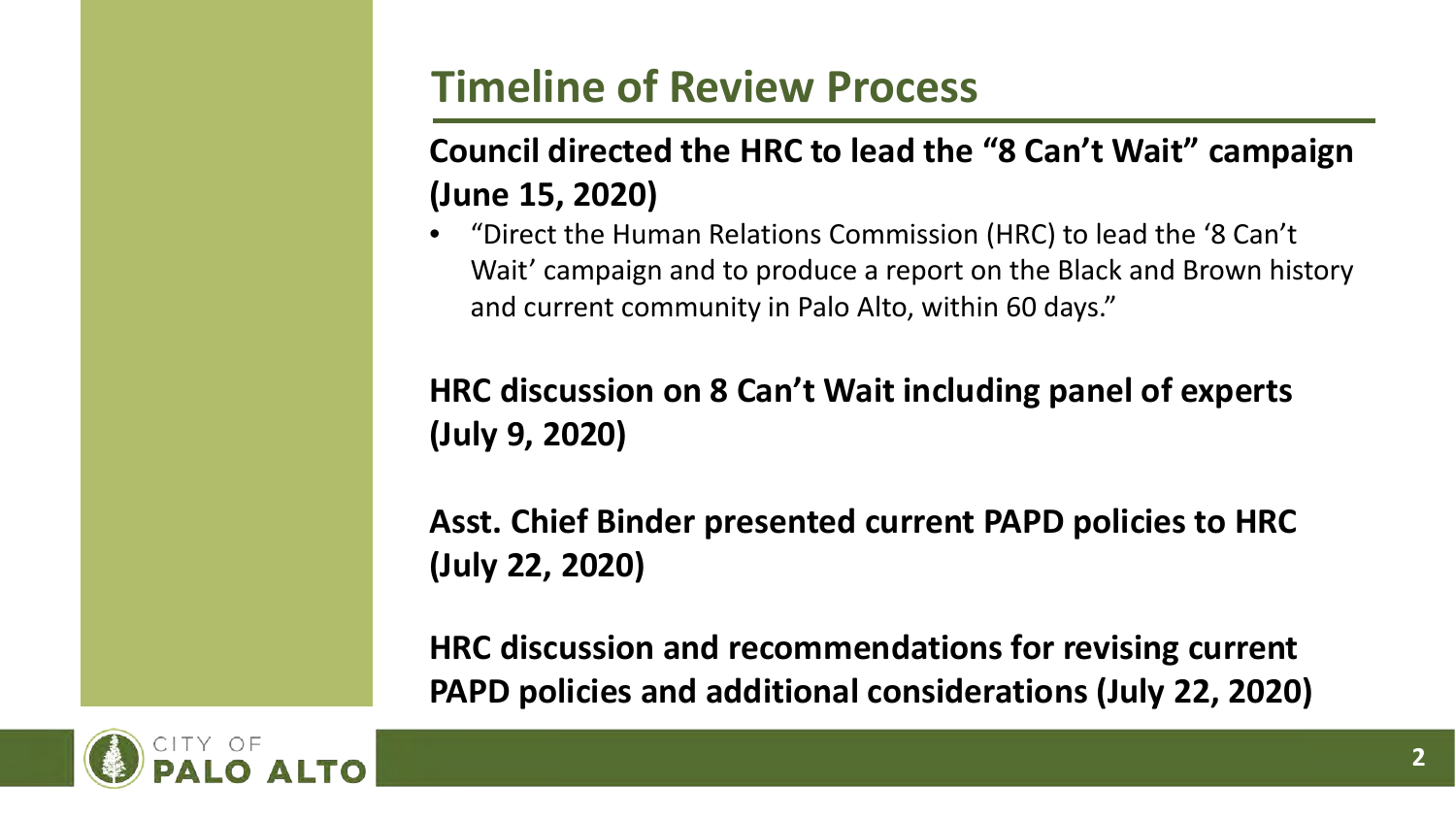## **Timeline of Review Process**

### **Council directed the HRC to lead the "8 Can't Wait" campaign (June 15, 2020)**

• "Direct the Human Relations Commission (HRC) to lead the '8 Can't Wait' campaign and to produce a report on the Black and Brown history and current community in Palo Alto, within 60 days."

### **HRC discussion on 8 Can't Wait including panel of experts (July 9, 2020)**

**Asst. Chief Binder presented current PAPD policies to HRC (July 22, 2020)**

**HRC discussion and recommendations for revising current PAPD policies and additional considerations (July 22, 2020)**

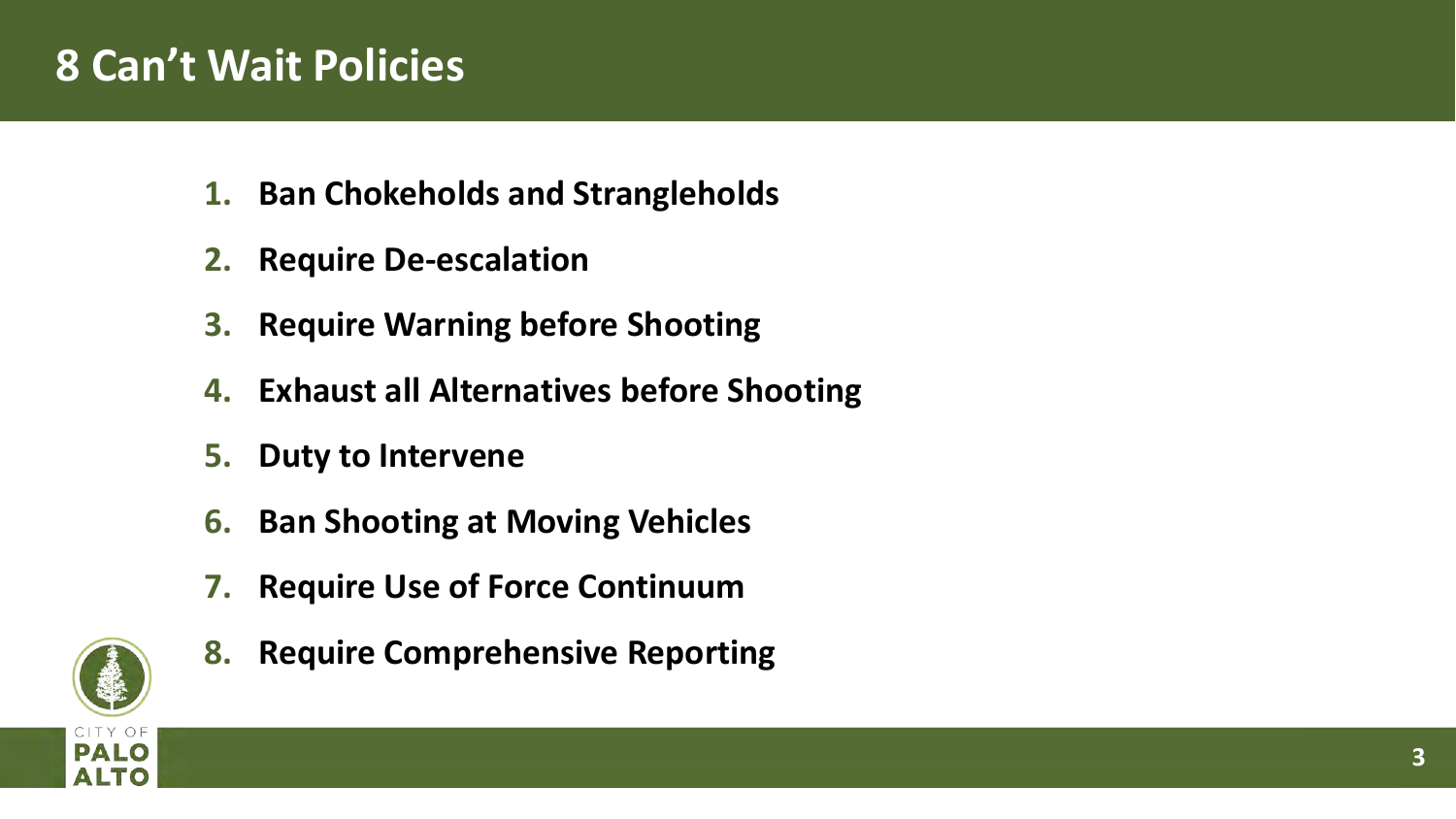### **8 Can't Wait Policies**

- **1. Ban Chokeholds and Strangleholds**
- **2. Require De-escalation**
- **3. Require Warning before Shooting**
- **4. Exhaust all Alternatives before Shooting**
- **5. Duty to Intervene**
- **6. Ban Shooting at Moving Vehicles**
- **7. Require Use of Force Continuum**
- **8. Require Comprehensive Reporting**

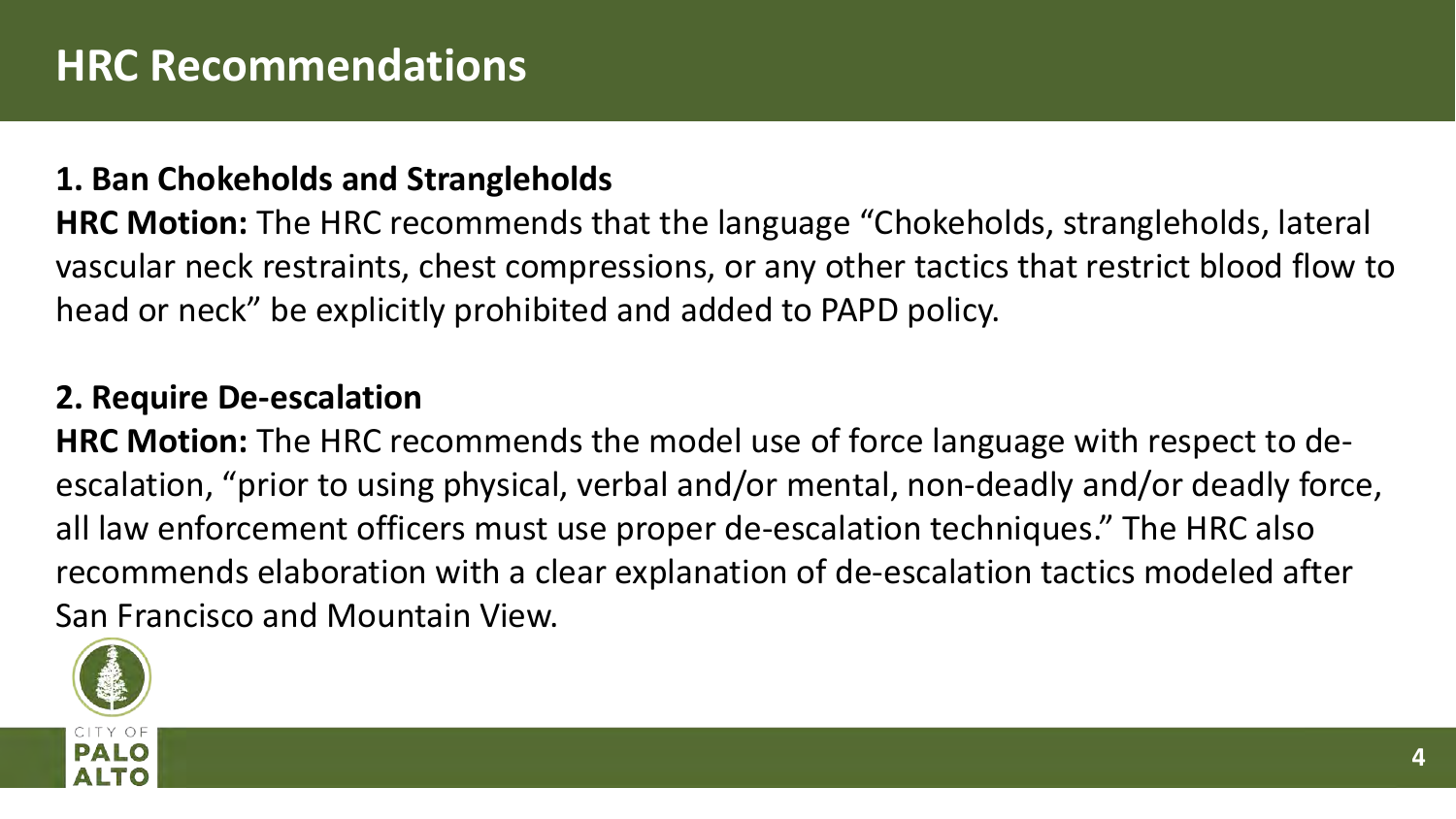#### **1. Ban Chokeholds and Strangleholds**

**HRC Motion:** The HRC recommends that the language "Chokeholds, strangleholds, lateral vascular neck restraints, chest compressions, or any other tactics that restrict blood flow to head or neck" be explicitly prohibited and added to PAPD policy.

#### **2. Require De-escalation**

**HRC Motion:** The HRC recommends the model use of force language with respect to deescalation, "prior to using physical, verbal and/or mental, non-deadly and/or deadly force, all law enforcement officers must use proper de-escalation techniques." The HRC also recommends elaboration with a clear explanation of de-escalation tactics modeled after San Francisco and Mountain View.

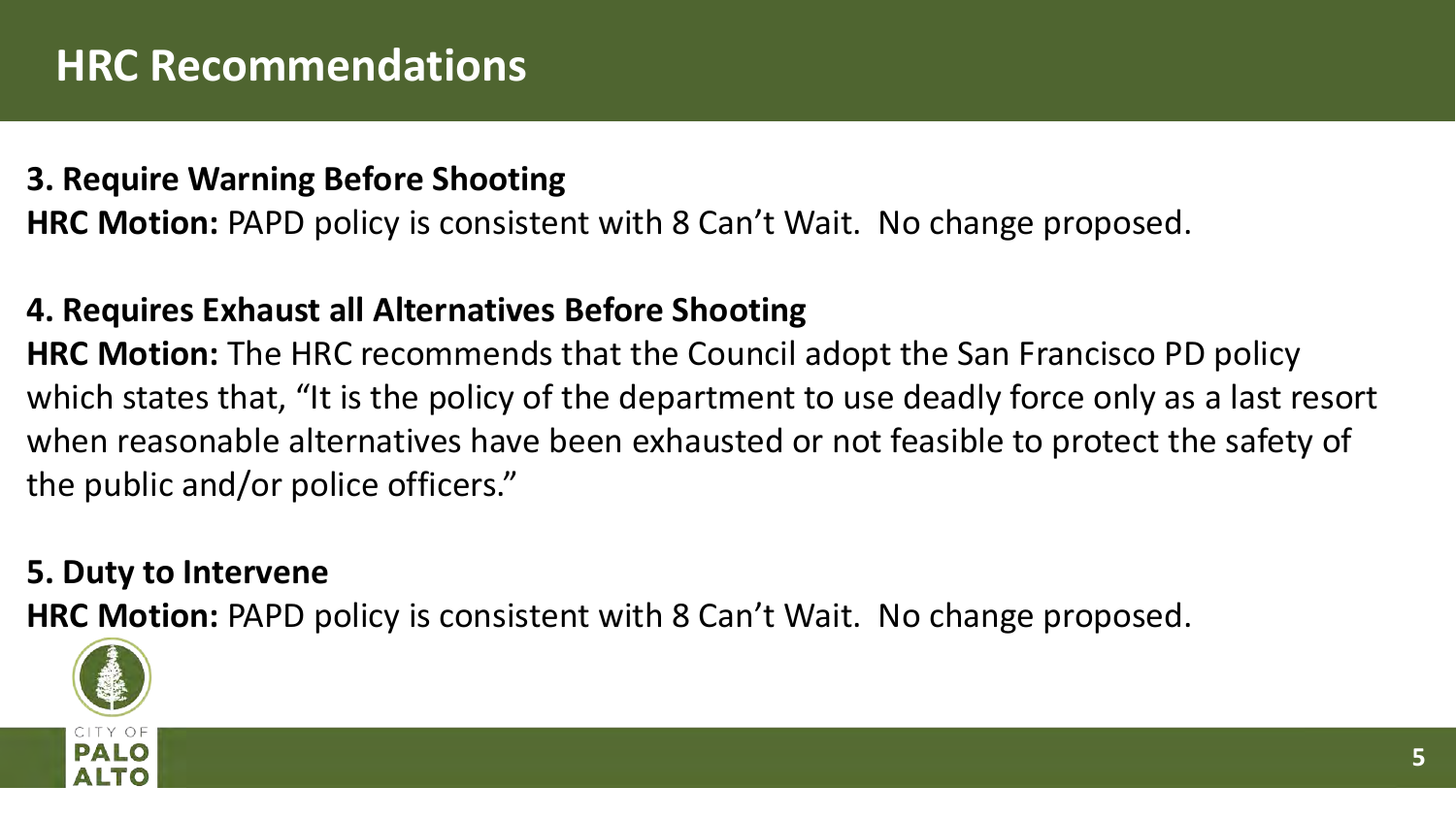### **HRC Recommendations**

#### **3. Require Warning Before Shooting**

**HRC Motion:** PAPD policy is consistent with 8 Can't Wait. No change proposed.

#### **4. Requires Exhaust all Alternatives Before Shooting**

**HRC Motion:** The HRC recommends that the Council adopt the San Francisco PD policy which states that, "It is the policy of the department to use deadly force only as a last resort when reasonable alternatives have been exhausted or not feasible to protect the safety of the public and/or police officers."

#### **5. Duty to Intervene**

**HRC Motion:** PAPD policy is consistent with 8 Can't Wait. No change proposed.

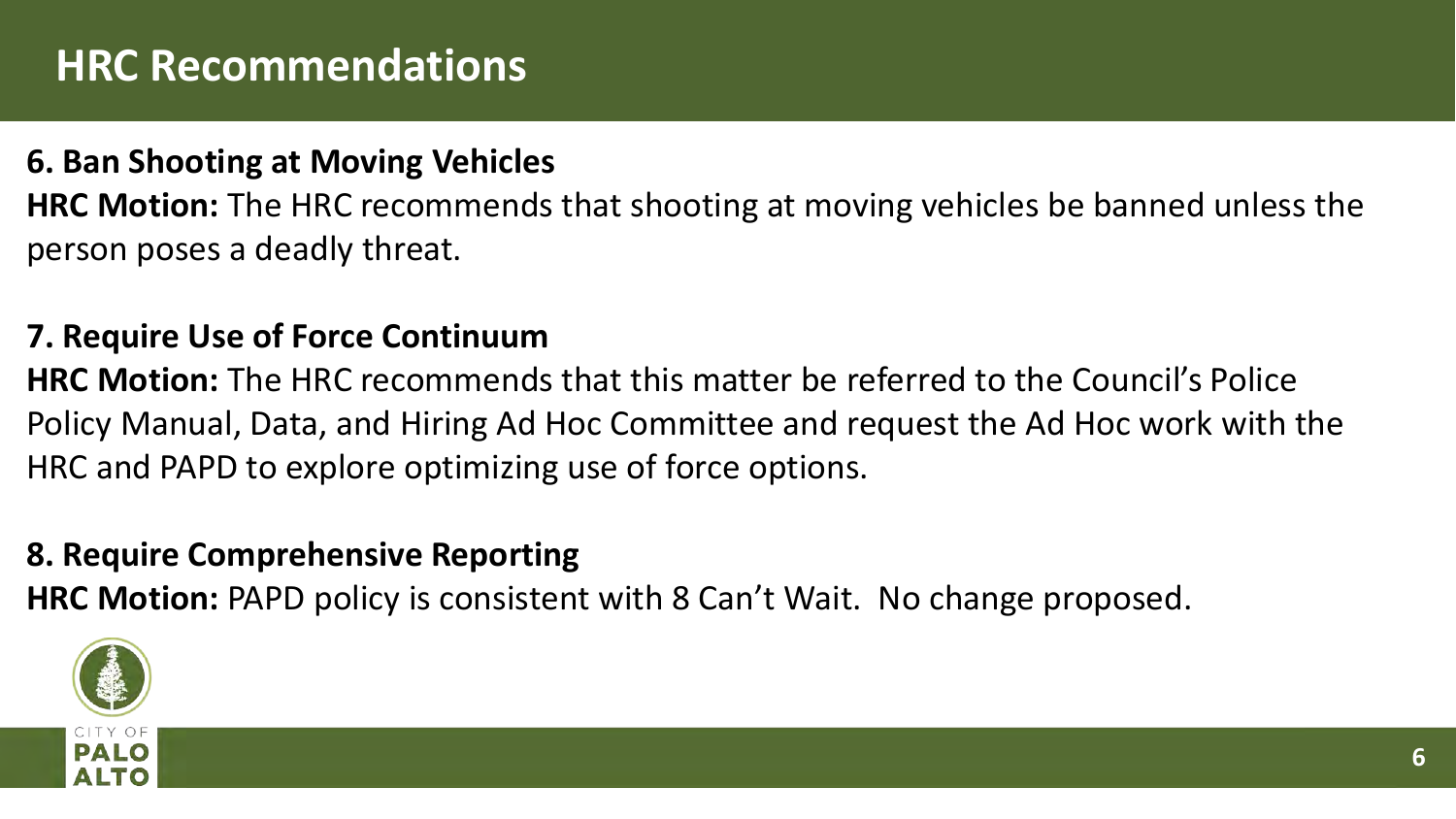### **HRC Recommendations**

#### **6. Ban Shooting at Moving Vehicles**

**HRC Motion:** The HRC recommends that shooting at moving vehicles be banned unless the person poses a deadly threat.

#### **7. Require Use of Force Continuum**

**HRC Motion:** The HRC recommends that this matter be referred to the Council's Police Policy Manual, Data, and Hiring Ad Hoc Committee and request the Ad Hoc work with the HRC and PAPD to explore optimizing use of force options.

#### **8. Require Comprehensive Reporting**

**HRC Motion:** PAPD policy is consistent with 8 Can't Wait. No change proposed.

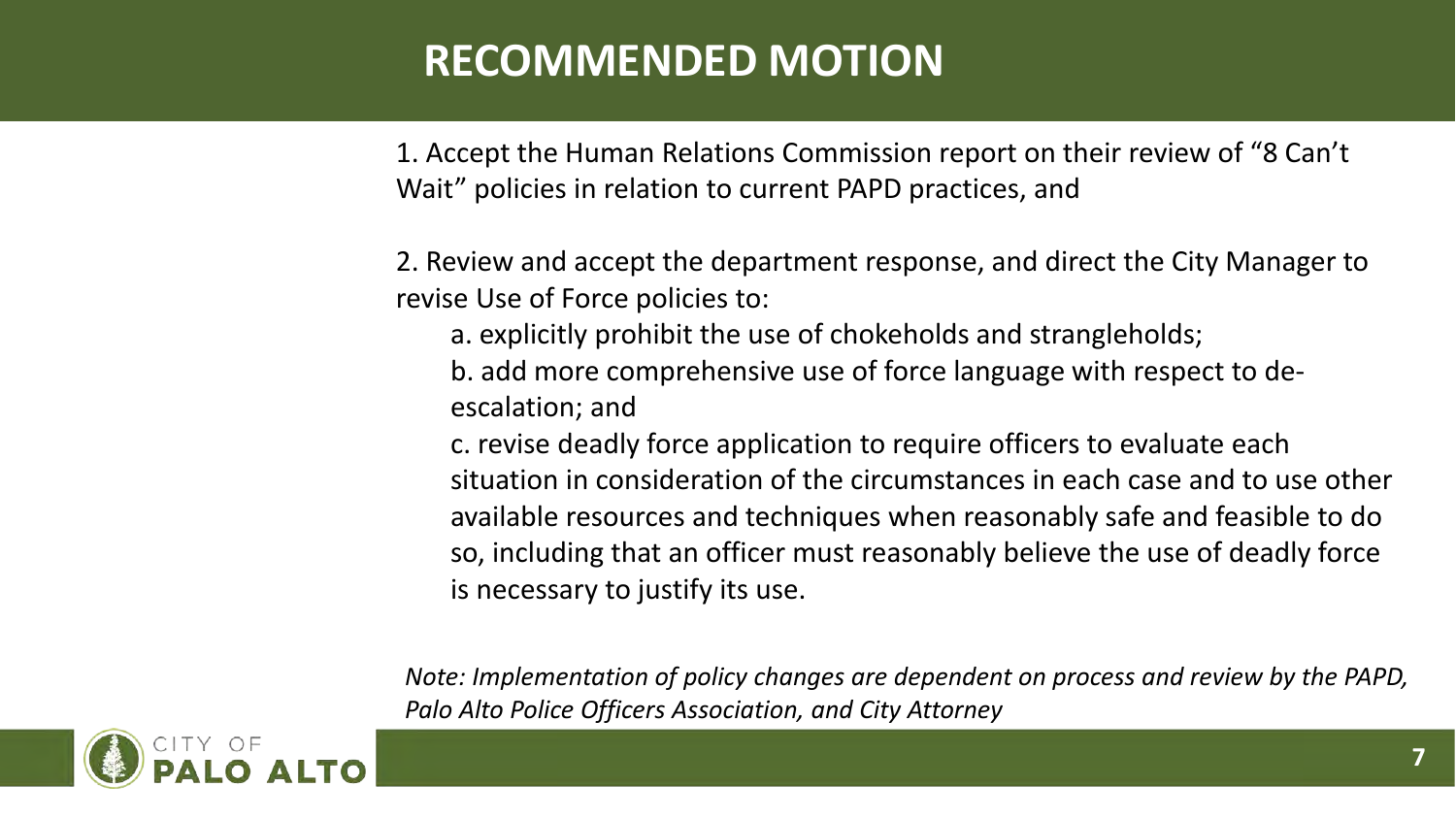### **RECOMMENDED MOTION**

1. Accept the Human Relations Commission report on their review of "8 Can't Wait" policies in relation to current PAPD practices, and

2. Review and accept the department response, and direct the City Manager to revise Use of Force policies to:

- a. explicitly prohibit the use of chokeholds and strangleholds;
- b. add more comprehensive use of force language with respect to deescalation; and
- c. revise deadly force application to require officers to evaluate each situation in consideration of the circumstances in each case and to use other available resources and techniques when reasonably safe and feasible to do so, including that an officer must reasonably believe the use of deadly force is necessary to justify its use.

*Note: Implementation of policy changes are dependent on process and review by the PAPD, Palo Alto Police Officers Association, and City Attorney*